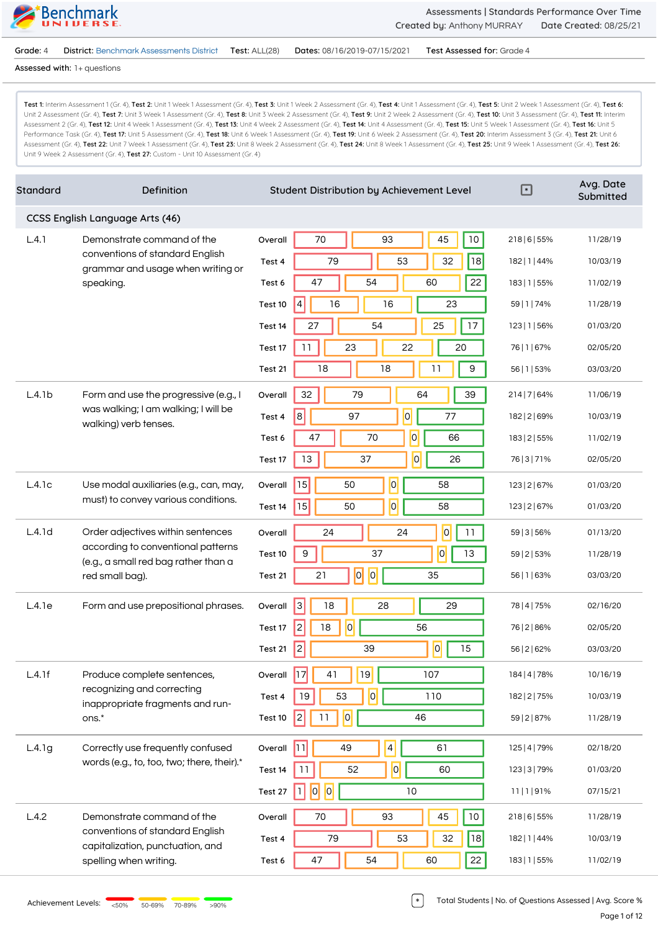

**Grade:** 4 **District:** Benchmark Assessments District **Test:** ALL(28) **Dates:** 08/16/2019-07/15/2021 **Test Assessed for:** Grade 4

**Assessed with:** 1+ questions

Test 1: Interim Assessment 1 (Gr. 4), Test 2: Unit 1 Week 1 Assessment (Gr. 4), Test 3: Unit 1 Week 2 Assessment (Gr. 4), Test 4: Unit 1 Assessment (Gr. 4), Test 5: Unit 2 Week 1 Assessment (Gr. 4), Test 5: Unit 2 Assessment (Gr. 4), Test 7: Unit 3 Week 1 Assessment (Gr. 4), Test 8: Unit 3 Week 2 Assessment (Gr. 4), Test 9: Unit 2 Week 2 Assessment (Gr. 4), Test 10: Unit 3 Assessment (Gr. 4), Test 11: Interim Assessment 2 (Gr. 4), Test 12: Unit 4 Week 1 Assessment (Gr. 4), Test 13: Unit 4 Week 2 Assessment (Gr. 4), Test 14: Unit 4 Assessment (Gr. 4), Test 15: Unit 5 Week 1 Assessment (Gr. 4), Test 16: Unit 5 Performance Task (Gr. 4), Test 17: Unit 5 Assessment (Gr. 4), Test 18: Unit 6 Week 1 Assessment (Gr. 4), Test 19: Unit 6 Week 2 Assessment (Gr. 4), Test 20: Interim Assessment 3 (Gr. 4), Test 21: Unit 6 Assessment (Gr. 4), Test 22: Unit 7 Week 1 Assessment (Gr. 4), Test 23: Unit 8 Week 2 Assessment (Gr. 4), Test 24: Unit 8 Week 1 Assessment (Gr. 4), Test 25: Unit 9 Week 1 Assessment (Gr. 4), Test 26: Unit 9 Week 2 Assessment (Gr. 4), **Test 27:** Custom - Unit 10 Assessment (Gr. 4)

| Standard | Definition                                                                 | ⊡<br>Student Distribution by Achievement Level                        | Avg. Date<br>Submitted |
|----------|----------------------------------------------------------------------------|-----------------------------------------------------------------------|------------------------|
|          | CCSS English Language Arts (46)                                            |                                                                       |                        |
| L.4.1    | Demonstrate command of the                                                 | 93<br>45<br>10<br>70<br>218   6   55%<br>Overall                      | 11/28/19               |
|          | conventions of standard English<br>grammar and usage when writing or       | 79<br>53<br>32<br>18<br>Test 4<br>182   1   44%                       | 10/03/19               |
|          | speaking.                                                                  | 22<br>47<br>54<br>60<br>Test 6<br>183   1   55%                       | 11/02/19               |
|          |                                                                            | 16<br>16<br>23<br>4<br>59   1   74%<br>Test 10                        | 11/28/19               |
|          |                                                                            | 54<br>17<br>27<br>25<br>Test 14<br>123   1   56%                      | 01/03/20               |
|          |                                                                            | 23<br>22<br>20<br>11<br>76   1   67%<br>Test 17                       | 02/05/20               |
|          |                                                                            | 11<br>9<br>18<br>18<br>Test 21<br>56   1   53%                        | 03/03/20               |
| L.4.1b   | Form and use the progressive (e.g., I                                      | 32<br>39<br>79<br>64<br>214   7   64%<br>Overall                      | 11/06/19               |
|          | was walking; I am walking; I will be<br>walking) verb tenses.              | 8 <br>$\overline{0}$<br>97<br>77<br>182   2   69%<br>Test 4           | 10/03/19               |
|          |                                                                            | $\overline{0}$<br>47<br>70<br>66<br>183   2   55%<br>Test 6           | 11/02/19               |
|          |                                                                            | $\overline{0}$<br>13<br>37<br>26<br>76   3   7 1%<br>Test 17          | 02/05/20               |
| L.4.1c   | Use modal auxiliaries (e.g., can, may,                                     | 0 <br>15<br>50<br>58<br>Overall<br>123   2   67%                      | 01/03/20               |
|          | must) to convey various conditions.                                        | 0 <br>15<br>50<br>58<br>Test 14<br>123   2   67%                      | 01/03/20               |
| L.4.1d   | Order adjectives within sentences                                          | $\overline{0}$<br>24<br>11<br>24<br>59   3   56%<br>Overall           | 01/13/20               |
|          | according to conventional patterns<br>(e.g., a small red bag rather than a | 0 <br>37<br>9<br>13<br>Test 10<br>59   2   53%                        | 11/28/19               |
|          | red small bag).                                                            | $ \overline{o} $<br> 0 <br>21<br>35<br>Test 21<br>56   1   63%        | 03/03/20               |
| L.4.1e   | Form and use prepositional phrases.                                        | 3 <br>18<br>28<br>29<br>Overall<br>78   4   75%                       | 02/16/20               |
|          |                                                                            | 0 <br>2<br>56<br>18<br>76   2   86%<br>Test 17                        | 02/05/20               |
|          |                                                                            | 2 <br> 0 <br>15<br>39<br>56   2   62%<br>Test 21                      | 03/03/20               |
| L.4.1f   | Produce complete sentences,                                                | $\overline{17}$<br>41<br>Overall<br>19<br>107<br>184   4   78%        | 10/16/19               |
|          | recognizing and correcting<br>inappropriate fragments and run-             | $\overline{0}$<br>53<br>19<br>110<br>182   2   75%<br>Test 4          | 10/03/19               |
|          | ons.*                                                                      | 0 <br>2<br>11<br>46<br>59   2   87%<br>Test 10                        | 11/28/19               |
| L.4.1g   | Correctly use frequently confused                                          | $\vert 4 \vert$<br><u> 11</u><br>49<br>61<br>Overall<br>125   4   79% | 02/18/20               |
|          | words (e.g., to, too, two; there, their).*                                 | 0 <br>11<br>52<br>60<br>Test 14<br>123   3   79%                      | 01/03/20               |
|          |                                                                            | 0 <br> 0 <br>П<br>10<br>Test 27<br>11   1   91%                       | 07/15/21               |
| L.4.2    | Demonstrate command of the                                                 | 45<br>70<br>93<br>$10$<br>Overall<br>218   6   55%                    | 11/28/19               |
|          | conventions of standard English<br>capitalization, punctuation, and        | 79<br>53<br>32<br>18<br>Test 4<br>182   1   44%                       | 10/03/19               |
|          | spelling when writing.                                                     | 22<br>47<br>54<br>60<br>183   1   55%<br>Test 6                       | 11/02/19               |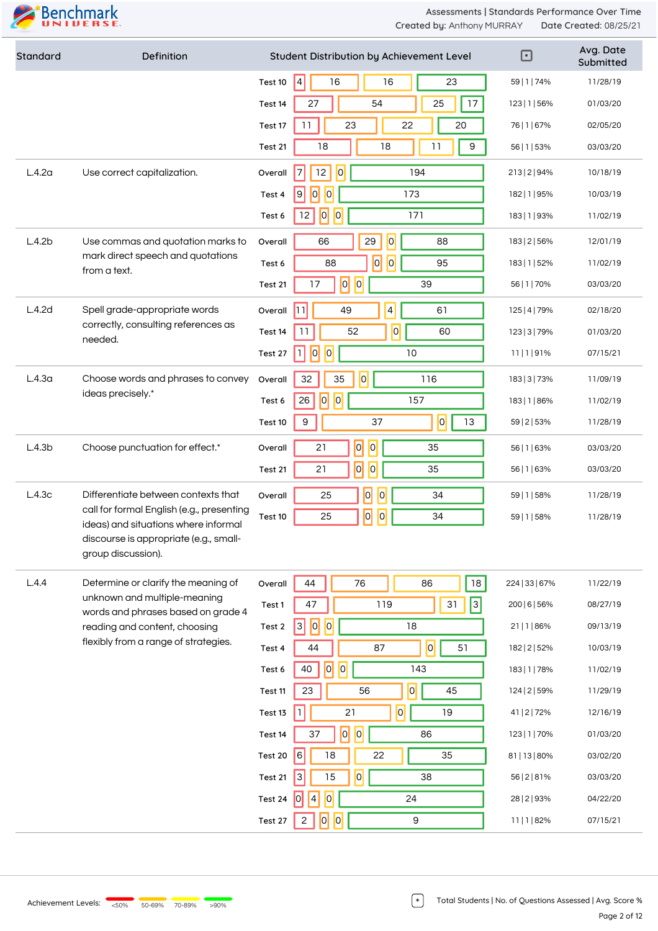

| Standard           | Definition                                                                        | Student Distribution by Achievement Level                 | ⊡              | Avg. Date<br>Submitted |
|--------------------|-----------------------------------------------------------------------------------|-----------------------------------------------------------|----------------|------------------------|
|                    |                                                                                   | 4 <br>$16\,$<br>16<br>23<br>Test 10                       | 59   1   74%   | 11/28/19               |
|                    |                                                                                   | 54<br>25<br>17<br>27<br>Test 14                           | 123   1   56%  | 01/03/20               |
|                    |                                                                                   | 23<br>22<br>20<br>11<br>Test 17                           | 76   1   67%   | 02/05/20               |
|                    |                                                                                   | 18<br>11<br>$\boldsymbol{9}$<br>18<br>Test 21             | 56   1   53%   | 03/03/20               |
| L.4.2a             | Use correct capitalization.                                                       | 12<br> 0 <br>7<br>194<br>Overall                          | 213   2   94%  | 10/18/19               |
|                    |                                                                                   | 0 <br>$\vert 0 \vert$<br> 9 <br>173<br>Test 4             | 182   1   95%  | 10/03/19               |
|                    |                                                                                   | 0 <br> 0 <br>171<br>12<br>Test 6                          | 183   1   93%  | 11/02/19               |
| L.4.2b             | Use commas and quotation marks to                                                 | 29<br> 0 <br>66<br>88<br>Overall                          | 183   2   56%  | 12/01/19               |
|                    | mark direct speech and quotations<br>from a text.                                 | $\overline{0}$<br> 0 <br>95<br>88<br>Test 6               | 183   1   52%  | 11/02/19               |
|                    |                                                                                   | $\overline{0}$<br> 0 <br>17<br>39<br>Test 21              | 56   1   70%   | 03/03/20               |
| L.4.2d             | Spell grade-appropriate words                                                     | $\vert 4 \vert$<br> ו ו <br>49<br>61<br>Overall           | 125   4   79%  | 02/18/20               |
|                    | correctly, consulting references as<br>needed.                                    | 0 <br>11<br>60<br>52<br>Test 14                           | 123   3   79%  | 01/03/20               |
|                    |                                                                                   | 0 <br> 0 <br>П<br>10<br>Test 27                           | 11 1 91%       | 07/15/21               |
| L.4.3 <sub>a</sub> | Choose words and phrases to convey                                                | 0 <br>116<br>32<br>35<br>Overall                          | 183   3   73%  | 11/09/19               |
|                    | ideas precisely.*                                                                 | 0 <br> 0 <br>26<br>157<br>Test 6                          | 183   1   86%  | 11/02/19               |
|                    |                                                                                   | 0 <br>9<br>13<br>37<br>Test 10                            | 59   2   53%   | 11/28/19               |
| L.4.3b             | Choose punctuation for effect.*                                                   | $ \overline{o} $<br>$\overline{O}$<br>21<br>35<br>Overall | 56   1   63%   | 03/03/20               |
|                    |                                                                                   | $ \overline{0} $<br>$\overline{0}$<br>35<br>21<br>Test 21 | 56   1   63%   | 03/03/20               |
| L.4.3c             | Differentiate between contexts that                                               | $\overline{0}$<br>$\vert 0 \vert$<br>25<br>34<br>Overall  | 59   1   58%   | 11/28/19               |
|                    | call for formal English (e.g., presenting<br>ideas) and situations where informal | $\overline{0}$<br>$\overline{0}$<br>34<br>25<br>Test 10   | 59   1   58%   | 11/28/19               |
|                    | discourse is appropriate (e.g., small-<br>group discussion).                      |                                                           |                |                        |
| L.4.4              | Determine or clarify the meaning of                                               | 44<br>76<br>18<br>86<br>Overall                           | 224   33   67% | 11/22/19               |
|                    | unknown and multiple-meaning<br>words and phrases based on grade 4                | 3 <br>47<br>119<br>31<br>Test 1                           | 200   6   56%  | 08/27/19               |
|                    | reading and content, choosing                                                     | 0 <br> 3 <br> 0 <br>18<br>Test 2                          | 21   1   86%   | 09/13/19               |
|                    | flexibly from a range of strategies.                                              | $\overline{0}$<br>44<br>51<br>87<br>Test 4                | 182   2   52%  | 10/03/19               |
|                    |                                                                                   | $\overline{0}$<br>$\overline{0}$<br>40<br>143<br>Test 6   | 183   1   78%  | 11/02/19               |
|                    |                                                                                   | $ \mathbf{0} $<br>45<br>23<br>56<br>Test 11               | 124   2   59%  | 11/29/19               |
|                    |                                                                                   | $\overline{0}$<br>21<br>19<br>Test 13                     | 41   2   72%   | 12/16/19               |
|                    |                                                                                   | $ \overline{0} $<br> 0 <br>37<br>86<br>Test 14            | 123   1   70%  | 01/03/20               |
|                    |                                                                                   | 6<br>18<br>22<br>35<br>Test 20                            | 81   13   80%  | 03/02/20               |
|                    |                                                                                   | 0 <br>15<br>3<br>38<br>Test 21                            | 56   2   8 1%  | 03/03/20               |
|                    |                                                                                   | 0 <br> 4 <br> 0 <br>24<br>Test 24                         | 28   2   93%   | 04/22/20               |
|                    |                                                                                   | 0 <br> 0 <br>9<br>Test 27<br>$\overline{c}$               | 11 1 82%       | 07/15/21               |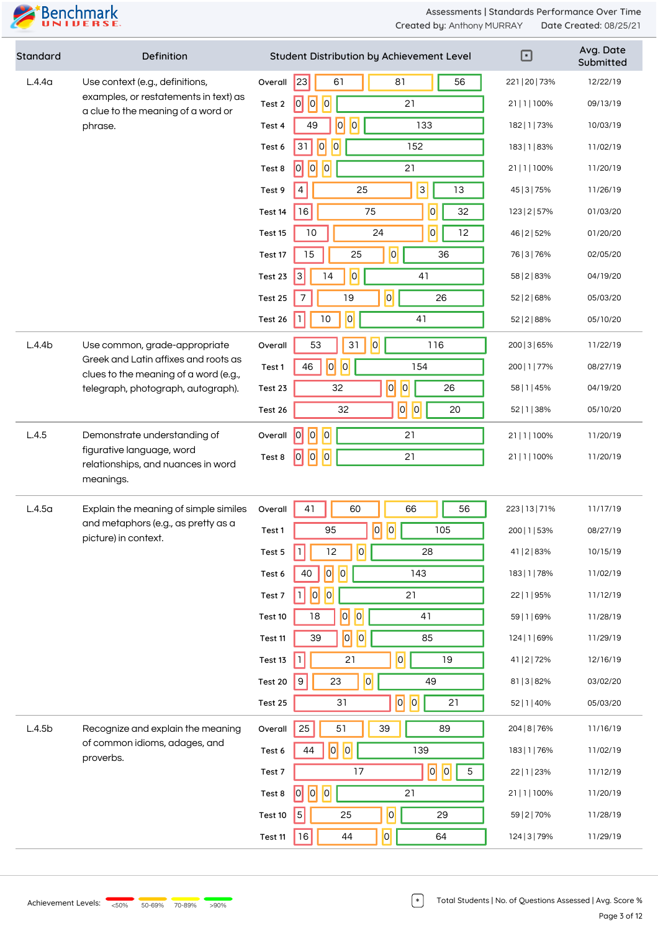

| Standard           | Definition                                                                    |                                                  | Student Distribution by Achievement Level | $\boxdot$      | Avg. Date<br>Submitted |
|--------------------|-------------------------------------------------------------------------------|--------------------------------------------------|-------------------------------------------|----------------|------------------------|
| L.4.4 <sub>a</sub> | Use context (e.g., definitions,                                               | 23 <br>61<br>Overall                             | 56<br>81                                  | 221   20   73% | 12/22/19               |
|                    | examples, or restatements in text) as<br>a clue to the meaning of a word or   | 0 <br> 0 <br> 0 <br>Test 2                       | 21                                        | 21   1   100%  | 09/13/19               |
|                    | phrase.                                                                       | 49<br>Test 4                                     | 0 <br> 0 <br>133                          | 182   1   73%  | 10/03/19               |
|                    |                                                                               | $\overline{0}$<br>$\overline{0}$<br>31<br>Test 6 | 152                                       | 183   1   83%  | 11/02/19               |
|                    |                                                                               | 0 <br> 0 <br> 0 <br>Test 8                       | 21                                        | 21   1   100%  | 11/20/19               |
|                    |                                                                               | 4<br>Test 9                                      | $\overline{3}$<br>13<br>25                | 45   3   75%   | 11/26/19               |
|                    |                                                                               | 16<br>Test 14                                    | $\overline{0}$<br>32<br>75                | 123   2   57%  | 01/03/20               |
|                    |                                                                               | 10<br>Test 15                                    | 0 <br>12<br>24                            | 46   2   52%   | 01/20/20               |
|                    |                                                                               | 15<br>Test 17                                    | 0 <br>25<br>36                            | 76   3   76%   | 02/05/20               |
|                    |                                                                               | 3<br>14<br>Test 23                               | 0 <br>41                                  | 58   2   83%   | 04/19/20               |
|                    |                                                                               | Test 25<br>7                                     | $\overline{0}$<br>19<br>26                | 52   2   68%   | 05/03/20               |
|                    |                                                                               | $10$<br>Test 26                                  | 0 <br>41                                  | 52   2   88%   | 05/10/20               |
| L.4.4b             | Use common, grade-appropriate                                                 | 53<br>Overall                                    | 0 <br>31<br>116                           | 200   3   65%  | 11/22/19               |
|                    | Greek and Latin affixes and roots as<br>clues to the meaning of a word (e.g., | $\overline{0}$<br>46<br>Test 1                   | 0 <br>154                                 | 200   1   77%  | 08/27/19               |
|                    | telegraph, photograph, autograph).                                            | 32<br>Test 23                                    | $\overline{0}$<br> 0 <br>26               | 58   1   45%   | 04/19/20               |
|                    |                                                                               | Test 26                                          | 0 <br> 0 <br>32<br>20                     | 52   1   38%   | 05/10/20               |
| L.4.5              | Demonstrate understanding of                                                  | 0 <br> 0 <br> 0 <br>Overall                      | 21                                        | 21   1   100%  | 11/20/19               |
|                    | figurative language, word<br>relationships, and nuances in word               | 0 <br> 0 <br> 0 <br>Test 8                       | 21                                        | 21   1   100%  | 11/20/19               |
|                    | meanings.                                                                     |                                                  |                                           |                |                        |
| L.4.5 <sub>a</sub> | Explain the meaning of simple similes                                         | 41<br>Overall                                    | 60<br>56<br>66                            | 223   13   71% | 11/17/19               |
|                    | and metaphors (e.g., as pretty as a<br>picture) in context.                   | 95<br>Test 1                                     | $ \overline{o} $<br> 0 <br>105            | 200   1   53%  | 08/27/19               |
|                    |                                                                               | $\mathbf{1}$<br>12<br>Test 5                     | $\overline{0}$<br>28                      | 41   2   83%   | 10/15/19               |
|                    |                                                                               | 0 <br>40<br>Test 6                               | 0 <br>143                                 | 183   1   78%  | 11/02/19               |
|                    |                                                                               | 0 <br> 0 <br>П<br>Test 7                         | 21                                        | 22   1   95%   | 11/12/19               |
|                    |                                                                               | 18<br>Test 10                                    | 0 <br> 0 <br>41                           | 59   1   69%   | 11/28/19               |
|                    |                                                                               | 39<br>Test 11                                    | $\overline{0}$<br> 0 <br>85               | 124   1   69%  | 11/29/19               |
|                    |                                                                               | $\mathbf{1}$<br>Test 13                          | $\overline{\mathsf{P}}$<br>21<br>19       | 41   2   72%   | 12/16/19               |
|                    |                                                                               | $\boldsymbol{9}$<br>23<br>Test 20                | $\overline{0}$<br>49                      | 81   3   82%   | 03/02/20               |
|                    |                                                                               | Test 25                                          | 0 <br> 0 <br>$31\,$<br>21                 | 52   1   40%   | 05/03/20               |
| L.4.5b             | Recognize and explain the meaning                                             | 25<br>Overall                                    | 51<br>39<br>89                            | 204   8   76%  | 11/16/19               |
|                    | of common idioms, adages, and<br>proverbs.                                    | 0 <br>44<br>Test 6                               | 0 <br>139                                 | 183   1   76%  | 11/02/19               |
|                    |                                                                               | Test 7                                           | $\overline{0}$<br> 0 <br>17<br>$5\,$      | 22   1   23%   | 11/12/19               |
|                    |                                                                               | 0 <br> 0 <br>Test 8                              | 21                                        | 21   1   100%  | 11/20/19               |
|                    |                                                                               | $\vert$ 5 $\vert$<br>Test 10                     | 0 <br>25<br>29                            | 59   2   70%   | 11/28/19               |
|                    |                                                                               | <b>16</b><br>Test 11                             | $ \overline{o} $<br>44<br>64              | 124   3   79%  | 11/29/19               |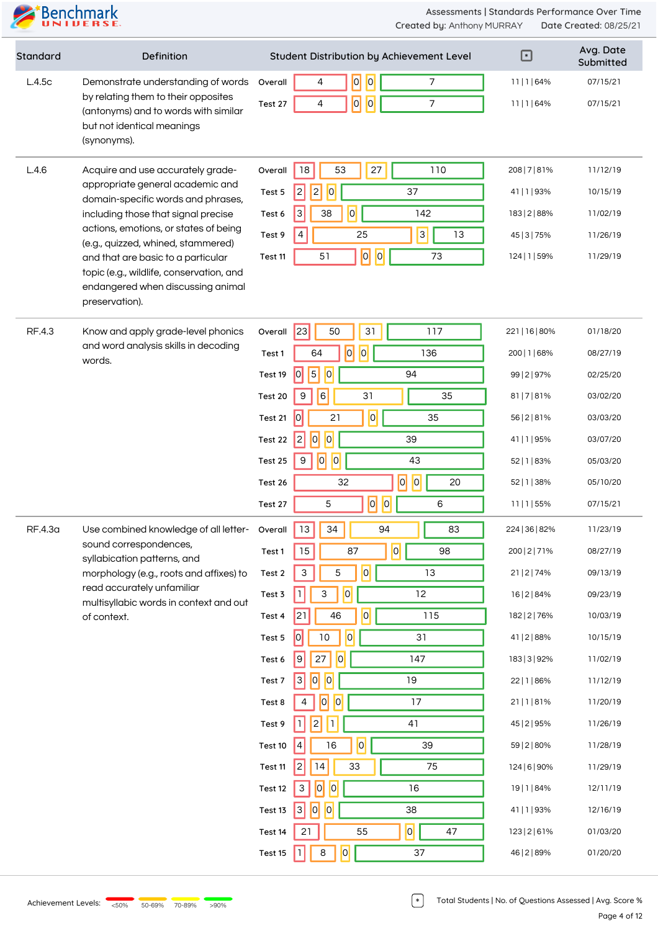

| <b>Standard</b> | Definition                                                                                      |         | Student Distribution by Achievement Level               | ⊡              | Avg. Date<br>Submitted |
|-----------------|-------------------------------------------------------------------------------------------------|---------|---------------------------------------------------------|----------------|------------------------|
| L.4.5c          | Demonstrate understanding of words                                                              | Overall | 0 <br> 0 <br>$\overline{7}$<br>4                        | 11 1 64%       | 07/15/21               |
|                 | by relating them to their opposites<br>(antonyms) and to words with similar                     | Test 27 | $\overline{a}$<br>$\overline{0}$<br>$\overline{7}$<br>4 | 11 1 64%       | 07/15/21               |
|                 | but not identical meanings<br>(synonyms).                                                       |         |                                                         |                |                        |
| L.4.6           | Acquire and use accurately grade-                                                               | Overall | 18<br>53<br>27<br>110                                   | 208   7   81%  | 11/12/19               |
|                 | appropriate general academic and<br>domain-specific words and phrases,                          | Test 5  | 2 <br> 2 <br> 0 <br>37                                  | 41   1   93%   | 10/15/19               |
|                 | including those that signal precise                                                             | Test 6  | 0 <br>$\ensuremath{\mathsf{3}}$<br>142<br>38            | 183   2   88%  | 11/02/19               |
|                 | actions, emotions, or states of being<br>(e.g., quizzed, whined, stammered)                     | Test 9  | 3 <br>$\overline{4}$<br>25<br>13                        | 45   3   75%   | 11/26/19               |
|                 | and that are basic to a particular                                                              | Test 11 | $\overline{0}$<br> 0 <br>73<br>51                       | 124   1   59%  | 11/29/19               |
|                 | topic (e.g., wildlife, conservation, and<br>endangered when discussing animal<br>preservation). |         |                                                         |                |                        |
| RF.4.3          | Know and apply grade-level phonics                                                              | Overall | 23 <br>50<br>31<br>117                                  | 221   16   80% | 01/18/20               |
|                 | and word analysis skills in decoding                                                            | Test 1  | 0 <br> 0 <br>64<br>136                                  | 200   1   68%  | 08/27/19               |
|                 | words.                                                                                          | Test 19 | $\vert 5 \vert$<br> 0 <br>$\vert 0 \vert$<br>94         | 99   2   97%   | 02/25/20               |
|                 |                                                                                                 | Test 20 | 6<br>31<br>35<br>9                                      | 81   7   81%   | 03/02/20               |
|                 |                                                                                                 | Test 21 | $\overline{0}$<br> 0 <br>21<br>35                       | 56   2   8 1%  | 03/03/20               |
|                 |                                                                                                 | Test 22 | $\vert 0 \vert$<br> 0 <br>39<br>$\overline{c}$          | 41   1   95%   | 03/07/20               |
|                 |                                                                                                 | Test 25 | $\overline{0}$<br> 0 <br>43<br>9                        | 52   1   83%   | 05/03/20               |
|                 |                                                                                                 | Test 26 | $\overline{0}$<br> 0 <br>20<br>32                       | 52   1   38%   | 05/10/20               |
|                 |                                                                                                 | Test 27 | $\overline{0}$<br> 0 <br>5<br>6                         | 11   1   55%   | 07/15/21               |
| RF.4.3a         | Use combined knowledge of all letter-                                                           | Overall | 34<br>13<br>94<br>83                                    | 224   36   82% | 11/23/19               |
|                 | sound correspondences,<br>syllabication patterns, and                                           | Test 1  | 0 <br>$15\,$<br>87<br>98                                | 200   2   71%  | 08/27/19               |
|                 | morphology (e.g., roots and affixes) to                                                         | Test 2  | $\mathsf 3$<br>5<br> 0 <br>13                           | 21   2   74%   | 09/13/19               |
|                 | read accurately unfamiliar<br>multisyllabic words in context and out                            | Test 3  | 0 <br>12<br>3<br>1                                      | 16   2   84%   | 09/23/19               |
|                 | of context.                                                                                     | Test 4  | 21<br>46<br> 0 <br>115                                  | 182   2   76%  | 10/03/19               |
|                 |                                                                                                 | Test 5  | 0 <br>$10$<br> 0 <br>31                                 | 41   2   88%   | 10/15/19               |
|                 |                                                                                                 | Test 6  | 0 <br>147<br> 9 <br>27                                  | 183   3   92%  | 11/02/19               |
|                 |                                                                                                 | Test 7  | 0 <br> 3 <br>19<br> 0                                   | 22   1   86%   | 11/12/19               |
|                 |                                                                                                 | Test 8  | 0 <br> 0 <br>17<br>4                                    | 21   1   81%   | 11/20/19               |
|                 |                                                                                                 | Test 9  | 41<br>2                                                 | 45   2   95%   | 11/26/19               |
|                 |                                                                                                 | Test 10 | 0 <br>16<br>39<br>4                                     | 59   2   80%   | 11/28/19               |
|                 |                                                                                                 | Test 11 | 14<br>33<br>75<br> 2                                    | 124   6   90%  | 11/29/19               |
|                 |                                                                                                 | Test 12 | 0 <br> 0 <br>16<br>3                                    | 19   1   84%   | 12/11/19               |
|                 |                                                                                                 | Test 13 | $\overline{10}$<br> 3 <br> 0 <br>38                     | 41   1   93%   | 12/16/19               |
|                 |                                                                                                 | Test 14 | 0 <br>55<br>47<br>21                                    | 123   2   6 1% | 01/03/20               |
|                 |                                                                                                 | Test 15 | $\overline{0}$<br>$\,8\,$<br>37<br>$\mathbf{1}$         | 46   2   89%   | 01/20/20               |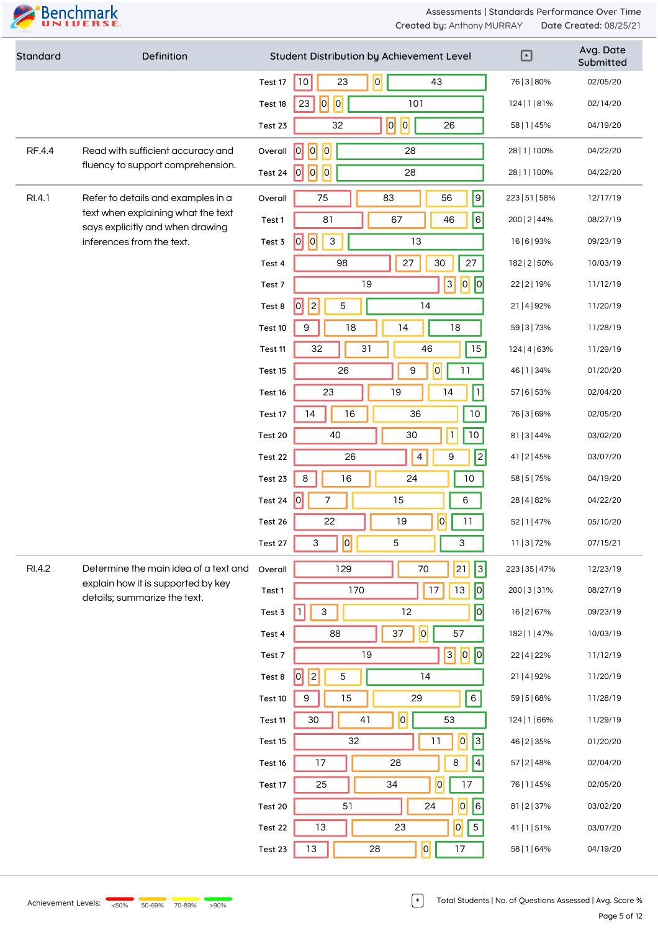

| Standard | Definition                                                             |         | Student Distribution by Achievement Level        | $\Box$         | Avg. Date<br>Submitted |
|----------|------------------------------------------------------------------------|---------|--------------------------------------------------|----------------|------------------------|
|          |                                                                        | Test 17 | 0 <br>23<br>43<br>$10$                           | 76   3   80%   | 02/05/20               |
|          |                                                                        | Test 18 | 0 <br> 0 <br>23<br>101                           | 124   1   81%  | 02/14/20               |
|          |                                                                        | Test 23 | 0 <br>$\overline{0}$<br>26<br>32                 | 58   1   45%   | 04/19/20               |
| RF.4.4   | Read with sufficient accuracy and                                      | Overall | $\overline{0}$<br> 0 <br> 0 <br>28               | 28   1   100%  | 04/22/20               |
|          | fluency to support comprehension.                                      | Test 24 | 0 <br> 0 <br> 0 <br>28                           | 28   1   100%  | 04/22/20               |
| RI.4.1   | Refer to details and examples in a                                     | Overall | $\boxed{9}$<br>75<br>83<br>56                    | 223   51   58% | 12/17/19               |
|          | text when explaining what the text<br>says explicitly and when drawing | Test 1  | $\overline{6}$<br>81<br>67<br>46                 | 200   2   44%  | 08/27/19               |
|          | inferences from the text.                                              | Test 3  | 0 <br> 0 <br>$\mathsf 3$<br>13                   | 16   6   93%   | 09/23/19               |
|          |                                                                        | Test 4  | $27\,$<br>$27\,$<br>30<br>98                     | 182   2   50%  | 10/03/19               |
|          |                                                                        | Test 7  | $\sqrt{2}$<br> 0 <br> 3 <br>19                   | 22   2   19%   | 11/12/19               |
|          |                                                                        | Test 8  | $\vert$ <sub>2</sub><br> 0 <br>$\mathbf 5$<br>14 | 21   4   92%   | 11/20/19               |
|          |                                                                        | Test 10 | 18<br>18<br>9<br>14                              | 59   3   73%   | 11/28/19               |
|          |                                                                        | Test 11 | 15<br>32<br>31<br>46                             | 124   4   63%  | 11/29/19               |
|          |                                                                        | Test 15 | 0 <br>26<br>9<br>11                              | 46   1   34%   | 01/20/20               |
|          |                                                                        | Test 16 | 23<br>19<br>14<br>$\mathbf{1}$                   | 57   6   53%   | 02/04/20               |
|          |                                                                        | Test 17 | 16<br>36<br>14<br>10                             | 76   3   69%   | 02/05/20               |
|          |                                                                        | Test 20 | 30<br>$\mathbf{I}$<br>10<br>40                   | 81   3   44%   | 03/02/20               |
|          |                                                                        | Test 22 | 2<br>$\overline{4}$<br>9<br>26                   | 41   2   45%   | 03/07/20               |
|          |                                                                        | Test 23 | 8<br>16<br>24<br>$10\,$                          | 58   5   75%   | 04/19/20               |
|          |                                                                        | Test 24 | 0 <br>7<br>15<br>6                               | 28   4   82%   | 04/22/20               |
|          |                                                                        | Test 26 | $\overline{0}$<br>22<br>19<br>11                 | 52   1   47%   | 05/10/20               |
|          |                                                                        | Test 27 | 0 <br>3<br>5<br>3                                | 11   3   72%   | 07/15/21               |
| RI.4.2   | Determine the main idea of a text and                                  | Overall | 3 <br> 21 <br>129<br>70                          | 223   35   47% | 12/23/19               |
|          | explain how it is supported by key<br>details; summarize the text.     | Test 1  | 0 <br>170<br>17<br>13                            | 200   3   3 1% | 08/27/19               |
|          |                                                                        | Test 3  | 0 <br>12<br>$\mathsf 3$<br>$\mathbf{1}$          | 16   2   67%   | 09/23/19               |
|          |                                                                        | Test 4  | $\overline{\mathsf{O}}$<br>37<br>57<br>88        | 182   1   47%  | 10/03/19               |
|          |                                                                        | Test 7  | 3 <br> 0 <br>$\boxed{0}$<br>19                   | 22   4   22%   | 11/12/19               |
|          |                                                                        | Test 8  | 2 <br> 0 <br>$\mathbf 5$<br>14                   | 21   4   92%   | 11/20/19               |
|          |                                                                        | Test 10 | $\,$ 6 $\,$<br>$\mathsf 9$<br>15<br>29           | 59   5   68%   | 11/28/19               |
|          |                                                                        | Test 11 | 0 <br>41<br>53<br>30                             | 124   1   66%  | 11/29/19               |
|          |                                                                        | Test 15 | $\overline{0}$<br> 3 <br>32<br>11                | 46   2   35%   | 01/20/20               |
|          |                                                                        | Test 16 | $\vert 4 \vert$<br>$\,8\,$<br>17<br>28           | 57   2   48%   | 02/04/20               |
|          |                                                                        | Test 17 | $\overline{0}$<br>17<br>25<br>34                 | 76   1   45%   | 02/05/20               |
|          |                                                                        | Test 20 | $\vert 6 \vert$<br> 0 <br>51<br>24               | 81   2   37%   | 03/02/20               |
|          |                                                                        | Test 22 | 0 <br>$\mathbf 5$<br>13<br>23                    | 41   1   51%   | 03/07/20               |
|          |                                                                        | Test 23 | 0 <br>13<br>17<br>28                             | 58   1   64%   | 04/19/20               |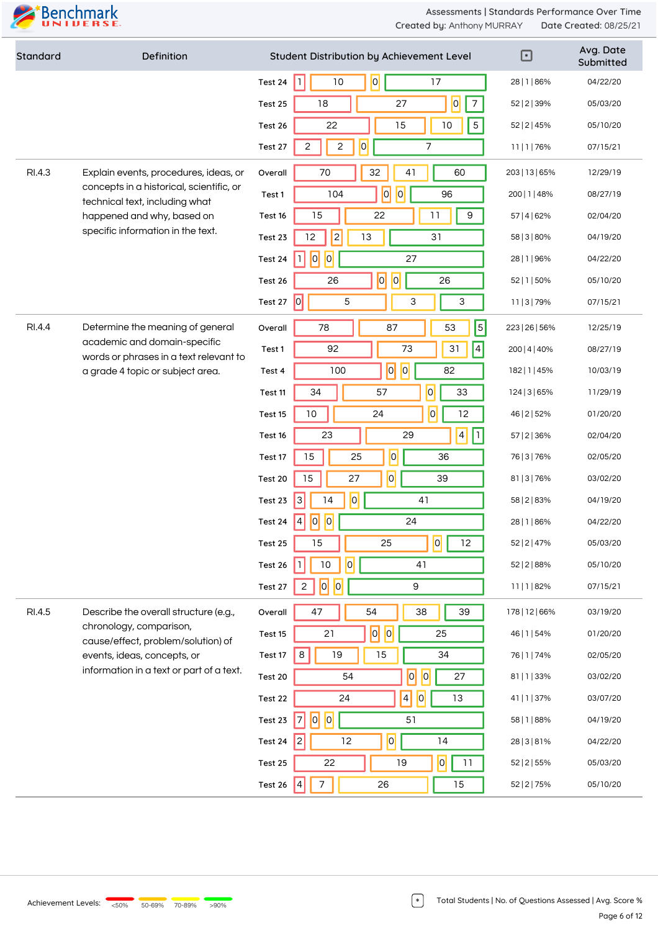

| Standard | Definition                                                                 |         | Student Distribution by Achievement Level                                  | $\bm \Xi$      | Avg. Date<br>Submitted |
|----------|----------------------------------------------------------------------------|---------|----------------------------------------------------------------------------|----------------|------------------------|
|          |                                                                            | Test 24 | 10<br>17<br>$\vert$ 1<br> 0                                                | 28   1   86%   | 04/22/20               |
|          |                                                                            | Test 25 | $\overline{0}$<br>$\overline{7}$<br>$18\,$<br>27                           | 52   2   39%   | 05/03/20               |
|          |                                                                            | Test 26 | 22<br>15<br>$10\,$<br>$5\phantom{.0}$                                      | 52   2   45%   | 05/10/20               |
|          |                                                                            | Test 27 | $\overline{0}$<br>$\overline{c}$<br>7<br>2                                 | 11   1   76%   | 07/15/21               |
| RI.4.3   | Explain events, procedures, ideas, or                                      | Overall | 32<br>70<br>60<br>41                                                       | 203   13   65% | 12/29/19               |
|          | concepts in a historical, scientific, or<br>technical text, including what | Test 1  | 0 <br> 0 <br>96<br>104                                                     | 200   1   48%  | 08/27/19               |
|          | happened and why, based on                                                 | Test 16 | 15<br>22<br>11<br>$\boldsymbol{9}$                                         | 57   4   62%   | 02/04/20               |
|          | specific information in the text.                                          | Test 23 | 2 <br>12<br>13<br>31                                                       | 58   3   80%   | 04/19/20               |
|          |                                                                            | Test 24 | 0 <br> 0 <br>27<br>11                                                      | 28   1   96%   | 04/22/20               |
|          |                                                                            | Test 26 | 0 <br> 0 <br>26<br>26                                                      | 52   1   50%   | 05/10/20               |
|          |                                                                            | Test 27 | 0 <br>5<br>3<br>3                                                          | 11   3   79%   | 07/15/21               |
| RI.4.4   | Determine the meaning of general                                           | Overall | $\overline{5}$<br>87<br>78<br>53                                           | 223   26   56% | 12/25/19               |
|          | academic and domain-specific<br>words or phrases in a text relevant to     | Test 1  | $\vert 4 \vert$<br>92<br>73<br>31                                          | 200   4   40%  | 08/27/19               |
|          | a grade 4 topic or subject area.                                           | Test 4  | $\overline{0}$<br> 0 <br>82<br>100                                         | 182   1   45%  | 10/03/19               |
|          |                                                                            | Test 11 | $\overline{0}$<br>33<br>34<br>57                                           | 124   3   65%  | 11/29/19               |
|          |                                                                            | Test 15 | 0 <br>$10\,$<br>12<br>24                                                   | 46   2   52%   | 01/20/20               |
|          |                                                                            | Test 16 | $\vert 4 \vert$<br>h.<br>23<br>29                                          | 57   2   36%   | 02/04/20               |
|          |                                                                            | Test 17 | $\overline{O}$<br>15<br>25<br>36                                           | 76   3   76%   | 02/05/20               |
|          |                                                                            | Test 20 | $\overline{O}$<br>27<br>15<br>39                                           | 81   3   76%   | 03/02/20               |
|          |                                                                            | Test 23 | 0 <br>$\overline{3}$<br>14<br>41                                           | 58   2   83%   | 04/19/20               |
|          |                                                                            | Test 24 | 0 <br> 0 <br>$\vert 4$<br>24                                               | 28   1   86%   | 04/22/20               |
|          |                                                                            | Test 25 | $\boxed{0}$ $\boxed{12}$<br>15<br>25                                       | 52   2   47%   | 05/03/20               |
|          |                                                                            | Test 26 | 0 <br>$10\,$<br>41                                                         | 52   2   88%   | 05/10/20               |
|          |                                                                            | Test 27 | $\overline{\overline{\mathsf{0}}}$<br> 0 <br>$\mathsf g$<br>$\overline{c}$ | 11   1   82%   | 07/15/21               |
| RI.4.5   | Describe the overall structure (e.g.,                                      | Overall | 47<br>54<br>38<br>39                                                       | 178   12   66% | 03/19/20               |
|          | chronology, comparison,<br>cause/effect, problem/solution) of              | Test 15 | $\overline{a}$<br> 0 <br>21<br>25                                          | 46   1   54%   | 01/20/20               |
|          | events, ideas, concepts, or                                                | Test 17 | 8<br>19<br>15<br>34                                                        | 76   1   74%   | 02/05/20               |
|          | information in a text or part of a text.                                   | Test 20 | 0 <br> 0 <br>27<br>54                                                      | 81   1   33%   | 03/02/20               |
|          |                                                                            | Test 22 | 0 <br>$\vert 4 \vert$<br>13<br>24                                          | 41   1   37%   | 03/07/20               |
|          |                                                                            | Test 23 | 0 <br> 0 <br>51<br>7                                                       | 58   1   88%   | 04/19/20               |
|          |                                                                            | Test 24 | $\overline{0}$<br>14<br> 2 <br>12                                          | 28   3   8 1%  | 04/22/20               |
|          |                                                                            | Test 25 | 0 <br>19<br>11<br>22                                                       | 52   2   55%   | 05/03/20               |
|          |                                                                            | Test 26 | $\overline{7}$<br>26<br>$\vert 4 \vert$<br>15                              | 52   2   75%   | 05/10/20               |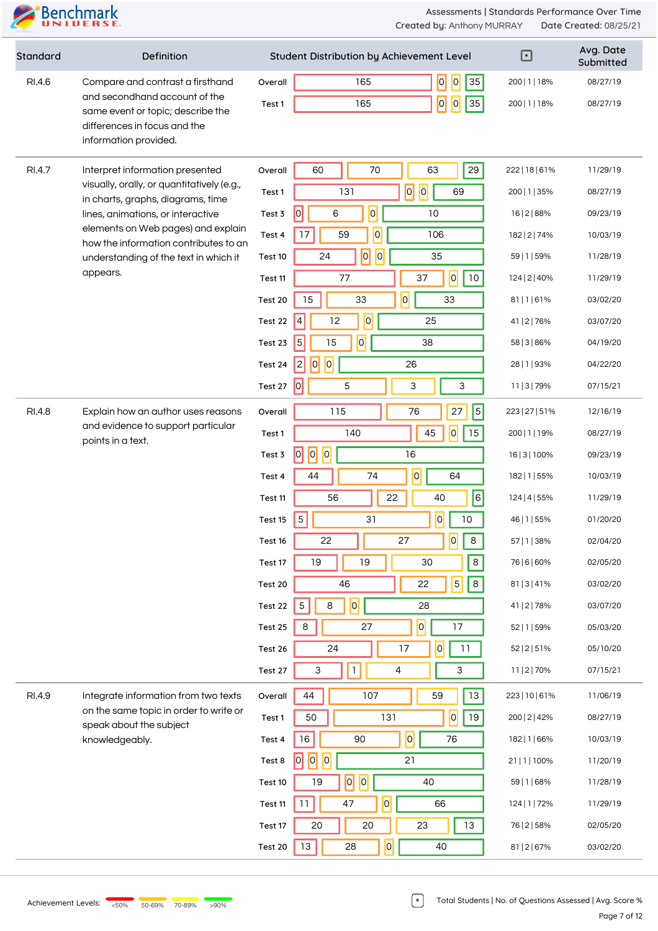

| Standard | Definition                                                                                                                  |         | Student Distribution by Achievement Level       | ⊡              | Avg. Date<br>Submitted |
|----------|-----------------------------------------------------------------------------------------------------------------------------|---------|-------------------------------------------------|----------------|------------------------|
| RI.4.6   | Compare and contrast a firsthand                                                                                            | Overall | $\overline{0}$<br>$\vert 0 \vert$<br>165<br> 35 | 200   1   18%  | 08/27/19               |
|          | and secondhand account of the<br>same event or topic; describe the<br>differences in focus and the<br>information provided. | Test 1  | 0 <br>165<br>$\vert 0 \vert$<br> 35             | 200   1   18%  | 08/27/19               |
| RI.4.7   | Interpret information presented                                                                                             | Overall | 70<br>29<br>60<br>63                            | 222   18   61% | 11/29/19               |
|          | visually, orally, or quantitatively (e.g.,<br>in charts, graphs, diagrams, time                                             | Test 1  | 0 <br> 0 <br>131<br>69                          | 200   1   35%  | 08/27/19               |
|          | lines, animations, or interactive                                                                                           | Test 3  | $ \overline{0} $<br>$\overline{0}$<br>6<br>10   | 16   2   88%   | 09/23/19               |
|          | elements on Web pages) and explain<br>how the information contributes to an                                                 | Test 4  | $\overline{0}$<br>17<br>59<br>106               | 182   2   74%  | 10/03/19               |
|          | understanding of the text in which it                                                                                       | Test 10 | $\overline{0}$<br> 0 <br>35<br>24               | 59   1   59%   | 11/28/19               |
|          | appears.                                                                                                                    | Test 11 | 0 <br>$10$<br>77<br>37                          | 124   2   40%  | 11/29/19               |
|          |                                                                                                                             | Test 20 | $\overline{0}$<br>33<br>33<br>15                | 81 1 61%       | 03/02/20               |
|          |                                                                                                                             | Test 22 | $\overline{0}$<br>12<br>25<br>4                 | 41   2   76%   | 03/07/20               |
|          |                                                                                                                             | Test 23 | $\overline{0}$<br>15<br>38<br>5                 | 58   3   86%   | 04/19/20               |
|          |                                                                                                                             | Test 24 | 0 <br>$\overline{c}$<br>$\overline{0}$<br>26    | 28   1   93%   | 04/22/20               |
|          |                                                                                                                             | Test 27 | 0 <br>3<br>5<br>3                               | 11   3   79%   | 07/15/21               |
| RI.4.8   | Explain how an author uses reasons                                                                                          | Overall | $\overline{5}$<br>115<br>76<br>27               | 223   27   51% | 12/16/19               |
|          | and evidence to support particular<br>points in a text.                                                                     | Test 1  | 0 <br>45<br>15<br>140                           | 200   1   19%  | 08/27/19               |
|          |                                                                                                                             | Test 3  | $\overline{0}$<br> 0 <br> 0 <br>16              | 16   3   100%  | 09/23/19               |
|          |                                                                                                                             | Test 4  | $\overline{0}$<br>74<br>44<br>64                | 182   1   55%  | 10/03/19               |
|          |                                                                                                                             | Test 11 | $\overline{6}$<br>22<br>56<br>40                | 124   4   55%  | 11/29/19               |
|          |                                                                                                                             | Test 15 | $\overline{O}$<br>$5\,$<br>10<br>31             | 46   1   55%   | 01/20/20               |
|          |                                                                                                                             | Test 16 | 27<br> 0 <br>22<br>8                            | 57   1   38%   | 02/04/20               |
|          |                                                                                                                             | Test 17 | 19<br>19<br>30<br>8                             | 76   6   60%   | 02/05/20               |
|          |                                                                                                                             | Test 20 | $\overline{5}$<br>22<br>8<br>46                 | 81   3   41%   | 03/02/20               |
|          |                                                                                                                             | Test 22 | $ \overline{o} $<br>$\mathbf 5$<br>8<br>28      | 41   2   78%   | 03/07/20               |
|          |                                                                                                                             | Test 25 | 0 <br>17<br>$\,8\,$<br>27                       | 52   1   59%   | 05/03/20               |
|          |                                                                                                                             | Test 26 | 0 <br>17<br>11<br>24                            | 52   2   51%   | 05/10/20               |
|          |                                                                                                                             | Test 27 | $\mathbbm{1}$<br>3<br>4<br>3                    | 11   2   70%   | 07/15/21               |
| RI.4.9   | Integrate information from two texts                                                                                        | Overall | 13<br>44<br>107<br>59                           | 223   10   61% | 11/06/19               |
|          | on the same topic in order to write or<br>speak about the subject                                                           | Test 1  | $\overline{0}$<br>19<br>50<br>131               | 200   2   42%  | 08/27/19               |
|          | knowledgeably.                                                                                                              | Test 4  | $16\,$<br> 0 <br>76<br>90                       | 182   1   66%  | 10/03/19               |
|          |                                                                                                                             | Test 8  | 0 <br> 0 <br> 0 <br>21                          | 21   1   100%  | 11/20/19               |
|          |                                                                                                                             | Test 10 | $\overline{0}$<br> 0 <br>40<br>19               | 59   1   68%   | 11/28/19               |
|          |                                                                                                                             | Test 11 | 0 <br>11<br>47<br>66                            | 124   1   72%  | 11/29/19               |
|          |                                                                                                                             | Test 17 | 20<br>13<br>$20\,$<br>23                        | 76   2   58%   | 02/05/20               |
|          |                                                                                                                             | Test 20 | $\overline{0}$<br>13<br>28<br>40                | 81   2   67%   | 03/02/20               |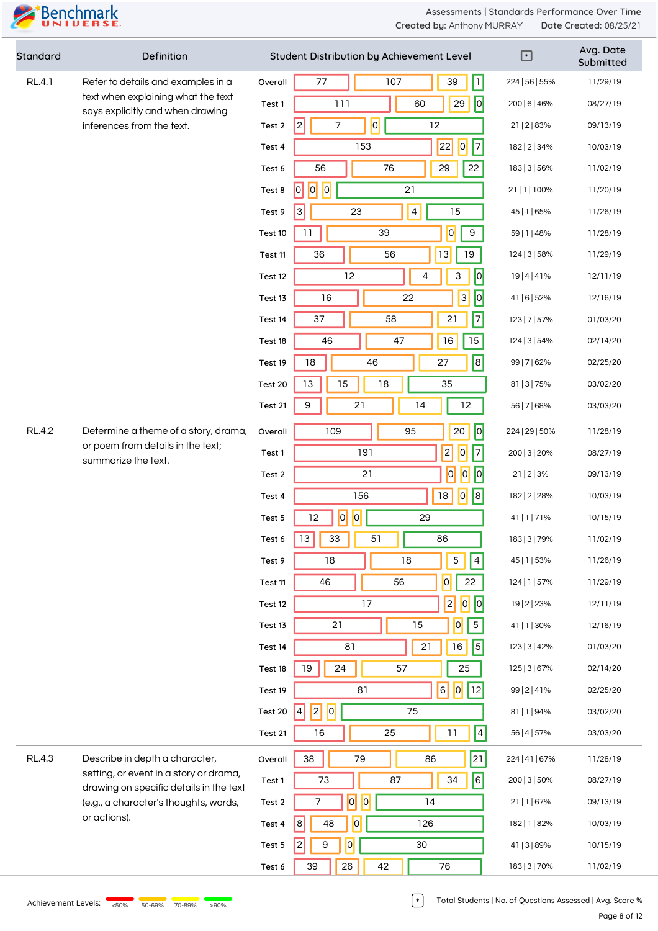

| Standard      | Definition                                                                        |         | Student Distribution by Achievement Level        | $\mathbf E$    | Avg. Date<br>Submitted |
|---------------|-----------------------------------------------------------------------------------|---------|--------------------------------------------------|----------------|------------------------|
| <b>RL.4.1</b> | Refer to details and examples in a                                                | Overall | $\vert \mathbf{1} \vert$<br>$77 \,$<br>107<br>39 | 224   56   55% | 11/29/19               |
|               | text when explaining what the text<br>says explicitly and when drawing            | Test 1  | $\overline{0}$<br>29<br>111<br>60                | 200   6   46%  | 08/27/19               |
|               | inferences from the text.                                                         | Test 2  | $ \overline{0} $<br> 2 <br>12<br>7               | 21   2   83%   | 09/13/19               |
|               |                                                                                   | Test 4  | 22 <br> 0 <br>$\vert$ 7<br>153                   | 182   2   34%  | 10/03/19               |
|               |                                                                                   | Test 6  | 22<br>56<br>76<br>29                             | 183   3   56%  | 11/02/19               |
|               |                                                                                   | Test 8  | 0 <br> 0 <br>21<br> 0                            | 21   1   100%  | 11/20/19               |
|               |                                                                                   | Test 9  | $\overline{4}$<br>15<br>$\vert 3 \vert$<br>23    | 45   1   65%   | 11/26/19               |
|               |                                                                                   | Test 10 | 0 <br>$\boldsymbol{9}$<br>11<br>39               | 59   1   48%   | 11/28/19               |
|               |                                                                                   | Test 11 | 13 <br>19<br>36<br>56                            | 124   3   58%  | 11/29/19               |
|               |                                                                                   | Test 12 | 12<br>$\overline{10}$<br>4<br>3                  | 19 4 41%       | 12/11/19               |
|               |                                                                                   | Test 13 | 0 <br>$\overline{3}$<br>16<br>22                 | 41   6   52%   | 12/16/19               |
|               |                                                                                   | Test 14 | $\overline{7}$<br>21<br>37<br>58                 | 123   7   57%  | 01/03/20               |
|               |                                                                                   | Test 18 | 15<br>47<br>$16$<br>46                           | 124   3   54%  | 02/14/20               |
|               |                                                                                   | Test 19 | 8 <br>18<br>46<br>27                             | 99   7   62%   | 02/25/20               |
|               |                                                                                   | Test 20 | 15<br>35<br>13<br>18                             | 81   3   75%   | 03/02/20               |
|               |                                                                                   | Test 21 | 21<br>12<br>9<br>14                              | 56   7   68%   | 03/03/20               |
| <b>RL.4.2</b> | Determine a theme of a story, drama,                                              | Overall | $\sqrt{2}$<br>20<br>109<br>95                    | 224   29   50% | 11/28/19               |
|               | or poem from details in the text;<br>summarize the text.                          | Test 1  | 2 <br> 0 <br> 7<br>191                           | 200   3   20%  | 08/27/19               |
|               |                                                                                   | Test 2  | $\overline{0}$<br>$\vert 0 \vert$<br> 0 <br>21   | 21 2 3%        | 09/13/19               |
|               |                                                                                   | Test 4  | 0 <br> 8 <br>156<br>18                           | 182   2   28%  | 10/03/19               |
|               |                                                                                   | Test 5  | 0 <br> 0 <br>12<br>29                            | 41   1   71%   | 10/15/19               |
|               |                                                                                   | Test 6  | $\vert$ 13 $\vert$<br>$33\,$<br>51<br>86         | 183   3   79%  | 11/02/19               |
|               |                                                                                   | Test 9  | $\sqrt{5}$<br>$\overline{4}$<br>18<br>18         | 45   1   53%   | 11/26/19               |
|               |                                                                                   | Test 11 | $\overline{0}$<br>22<br>46<br>56                 | 124   1   57%  | 11/29/19               |
|               |                                                                                   | Test 12 | 2 <br>17<br>$\overline{\mathbf{0}}$<br> 0        | 19   2   23%   | 12/11/19               |
|               |                                                                                   | Test 13 | $\mathbf 5$<br>21<br>15<br>$\overline{0}$        | 41   1   30%   | 12/16/19               |
|               |                                                                                   | Test 14 | $\vert$ 5 $\vert$<br>81<br>21<br>16              | 123   3   42%  | 01/03/20               |
|               |                                                                                   | Test 18 | 19<br>24<br>57<br>25                             | 125   3   67%  | 02/14/20               |
|               |                                                                                   | Test 19 | $\vert 6 \vert$<br> 0 <br> 12 <br>81             | 99   2   41%   | 02/25/20               |
|               |                                                                                   | Test 20 | 0 <br> 2 <br>75<br>$\vert 4 \vert$               | 81   1   94%   | 03/02/20               |
|               |                                                                                   | Test 21 | $\vert 4 \vert$<br>16<br>25<br>11                | 56   4   57%   | 03/03/20               |
| <b>RL.4.3</b> | Describe in depth a character,                                                    | Overall | 21 <br>38<br>79<br>86                            | 224   41   67% | 11/28/19               |
|               | setting, or event in a story or drama,<br>drawing on specific details in the text | Test 1  | 6 <br>87<br>73<br>34                             | 200   3   50%  | 08/27/19               |
|               | (e.g., a character's thoughts, words,                                             | Test 2  | $ \overline{o} $<br> 0 <br>14<br>7               | 21   1   67%   | 09/13/19               |
|               | or actions).                                                                      | Test 4  | $\overline{0}$<br> 8 <br>48<br>126               | 182   1   82%  | 10/03/19               |
|               |                                                                                   | Test 5  | $30\,$<br>9<br>$\overline{0}$<br> 2              | 41   3   89%   | 10/15/19               |
|               |                                                                                   | Test 6  | 26<br>42<br>76<br>39                             | 183   3   70%  | 11/02/19               |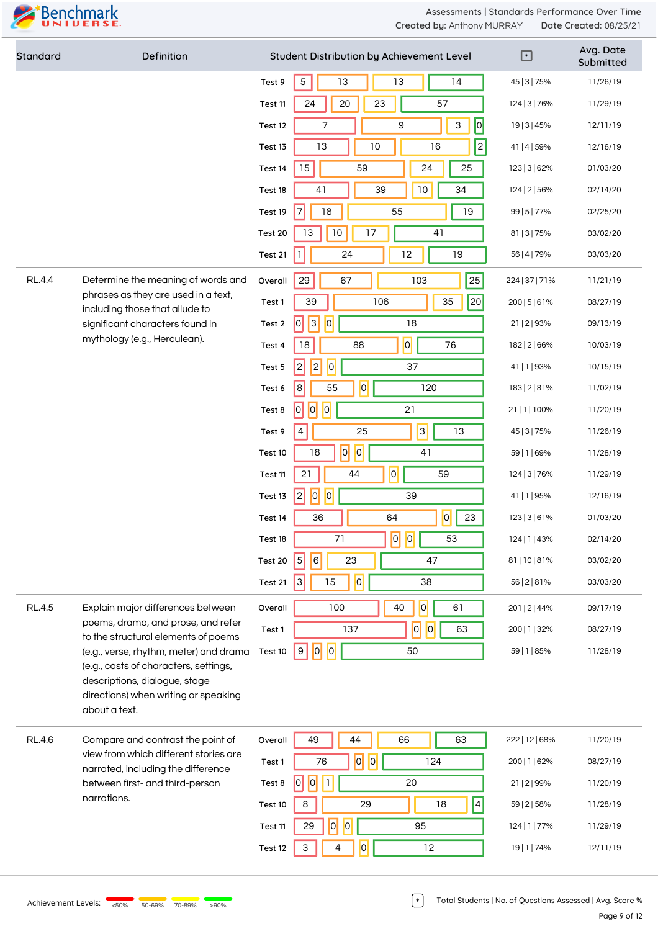

| Standard      | Definition                                                                                                                      |         | Student Distribution by Achievement Level                                                                       | $\Box$         | Avg. Date<br>Submitted |
|---------------|---------------------------------------------------------------------------------------------------------------------------------|---------|-----------------------------------------------------------------------------------------------------------------|----------------|------------------------|
|               |                                                                                                                                 | Test 9  | $\sqrt{5}$<br>13<br>13<br>14                                                                                    | 45   3   75%   | 11/26/19               |
|               |                                                                                                                                 | Test 11 | 57<br>20<br>24<br>23                                                                                            | 124   3   76%  | 11/29/19               |
|               |                                                                                                                                 | Test 12 | 0 <br>$\mathsf 9$<br>$\sqrt{3}$<br>7                                                                            | 19   3   45%   | 12/11/19               |
|               |                                                                                                                                 | Test 13 | 2 <br>10<br>16<br>13                                                                                            | 41   4   59%   | 12/16/19               |
|               |                                                                                                                                 | Test 14 | 15<br>59<br>24<br>25                                                                                            | 123   3   62%  | 01/03/20               |
|               |                                                                                                                                 | Test 18 | 39<br>$10$<br>34<br>41                                                                                          | 124   2   56%  | 02/14/20               |
|               |                                                                                                                                 | Test 19 | 55<br>$\overline{7}$<br>18<br>19                                                                                | 99   5   77%   | 02/25/20               |
|               |                                                                                                                                 | Test 20 | $10$<br>41<br>13<br>17                                                                                          | 81   3   75%   | 03/02/20               |
|               |                                                                                                                                 | Test 21 | $\mathbf{I}$<br>12<br>24<br>19                                                                                  | 56   4   79%   | 03/03/20               |
| <b>RL.4.4</b> | Determine the meaning of words and                                                                                              | Overall | 25<br>29<br>67<br>103                                                                                           | 224   37   71% | 11/21/19               |
|               | phrases as they are used in a text,<br>including those that allude to                                                           | Test 1  | 35<br> 20 <br>39<br>106                                                                                         | 200   5   6 1% | 08/27/19               |
|               | significant characters found in                                                                                                 | Test 2  | $\vert 0 \vert$<br>$\vert 3 \vert$<br> 0 <br>18                                                                 | 21   2   93%   | 09/13/19               |
|               | mythology (e.g., Herculean).                                                                                                    | Test 4  | $\overline{\mathsf{O}}$<br>76<br>18<br>88                                                                       | 182   2   66%  | 10/03/19               |
|               |                                                                                                                                 | Test 5  | 2 <br> 0 <br> 2 <br>37                                                                                          | 41   1   93%   | 10/15/19               |
|               |                                                                                                                                 | Test 6  | $\overline{0}$<br>$\,8\,$<br>55<br>120                                                                          | 183   2   8 1% | 11/02/19               |
|               |                                                                                                                                 | Test 8  | 0 <br>21<br> 0 <br> 0                                                                                           | 21   1   100%  | 11/20/19               |
|               |                                                                                                                                 | Test 9  | 3 <br>25<br>13<br>4                                                                                             | 45   3   75%   | 11/26/19               |
|               |                                                                                                                                 | Test 10 | $\overline{0}$<br> 0 <br>18<br>41                                                                               | 59   1   69%   | 11/28/19               |
|               |                                                                                                                                 | Test 11 | 0 <br>59<br>21<br>44                                                                                            | 124   3   76%  | 11/29/19               |
|               |                                                                                                                                 | Test 13 | $\overline{0}$<br> 0 <br>$\overline{c}$<br>39                                                                   | 41   1   95%   | 12/16/19               |
|               |                                                                                                                                 | Test 14 | 0 <br>36<br>64<br>23                                                                                            | 123   3   6 1% | 01/03/20               |
|               |                                                                                                                                 | Test 18 | $\overline{\phantom{a}}$ $\overline{\phantom{a}}$ $\overline{\phantom{a}}$ $\overline{\phantom{a}}$<br>71<br>53 | 124   1   43%  | 02/14/20               |
|               |                                                                                                                                 | Test 20 | 23<br>47<br> 5 <br> 6                                                                                           | 81   10   81%  | 03/02/20               |
|               |                                                                                                                                 | Test 21 | 0 <br>15<br>Iз<br>38                                                                                            | 56   2   8 1%  | 03/03/20               |
| <b>RL.4.5</b> | Explain major differences between                                                                                               | Overall | $\overline{0}$<br>61<br>100<br>40                                                                               | 201   2   44%  | 09/17/19               |
|               | poems, drama, and prose, and refer<br>to the structural elements of poems                                                       | Test 1  | 0 <br> 0 <br>137<br>63                                                                                          | 200   1   32%  | 08/27/19               |
|               | (e.g., verse, rhythm, meter) and drama                                                                                          | Test 10 | 0 <br> 0 <br>9<br>50                                                                                            | 59   1   85%   | 11/28/19               |
|               | (e.g., casts of characters, settings,<br>descriptions, dialogue, stage<br>directions) when writing or speaking<br>about a text. |         |                                                                                                                 |                |                        |
| <b>RL.4.6</b> | Compare and contrast the point of                                                                                               | Overall | 49<br>44<br>66<br>63                                                                                            | 222   12   68% | 11/20/19               |
|               | view from which different stories are<br>narrated, including the difference                                                     | Test 1  | $\overline{0}$<br>$\overline{0}$<br>76<br>124                                                                   | 200   1   62%  | 08/27/19               |
|               | between first- and third-person                                                                                                 | Test 8  | 0 <br> 0 <br>h<br>20                                                                                            | 21   2   99%   | 11/20/19               |
|               | narrations.                                                                                                                     | Test 10 | $\vert 4 \vert$<br>$\,8\,$<br>29<br>18                                                                          | 59   2   58%   | 11/28/19               |
|               |                                                                                                                                 | Test 11 | 0 <br> 0 <br>95<br>29                                                                                           | 124   1   77%  | 11/29/19               |
|               |                                                                                                                                 | Test 12 | $\overline{0}$<br>3<br>12<br>4                                                                                  | 19   1   74%   | 12/11/19               |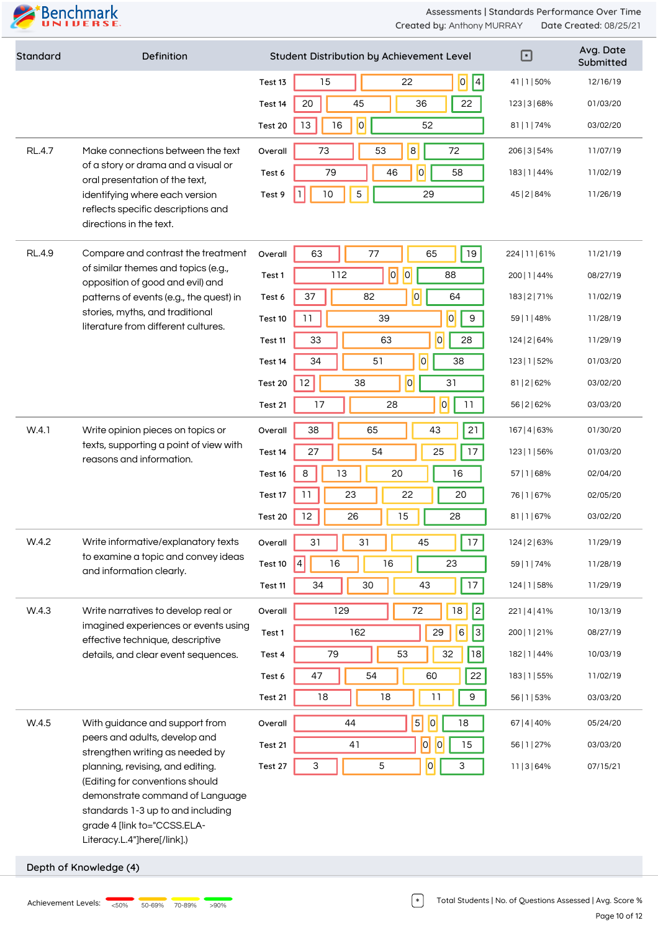

| Standard      | Definition                                                               | Student Distribution by Achievement Level        | $\boxdot$      | Avg. Date<br>Submitted |
|---------------|--------------------------------------------------------------------------|--------------------------------------------------|----------------|------------------------|
|               |                                                                          | $\vert 4 \vert$<br> 0 <br>15<br>22<br>Test 13    | 41   1   50%   | 12/16/19               |
|               |                                                                          | 45<br>22<br>20<br>36<br>Test 14                  | 123   3   68%  | 01/03/20               |
|               |                                                                          | 0 <br>13<br>16<br>52<br>Test 20                  | 81   1   74%   | 03/02/20               |
| <b>RL.4.7</b> | Make connections between the text                                        | $\mathbf{8}$<br>73<br>53<br>72<br>Overall        | 206   3   54%  | 11/07/19               |
|               | of a story or drama and a visual or<br>oral presentation of the text,    | 0 <br>79<br>46<br>58<br>Test 6                   | 183   1   44%  | 11/02/19               |
|               | identifying where each version                                           | 5<br>10<br>29<br>Test 9                          | 45   2   84%   | 11/26/19               |
|               | reflects specific descriptions and<br>directions in the text.            |                                                  |                |                        |
| <b>RL.4.9</b> | Compare and contrast the treatment                                       | 19<br>63<br>65<br>77<br>Overall                  | 224   11   61% | 11/21/19               |
|               | of similar themes and topics (e.g.,<br>opposition of good and evil) and  | $\overline{0}$<br> 0 <br>112<br>88<br>Test 1     | 200   1   44%  | 08/27/19               |
|               | patterns of events (e.g., the quest) in                                  | $\overline{0}$<br>37<br>82<br>64<br>Test 6       | 183   2   71%  | 11/02/19               |
|               | stories, myths, and traditional<br>literature from different cultures.   | $\overline{0}$<br>11<br>$9\,$<br>39<br>Test 10   | 59   1   48%   | 11/28/19               |
|               |                                                                          | $\overline{0}$<br>33<br>28<br>63<br>Test 11      | 124   2   64%  | 11/29/19               |
|               |                                                                          | $\overline{0}$<br>51<br>38<br>34<br>Test 14      | 123   1   52%  | 01/03/20               |
|               |                                                                          | 0 <br>12<br>31<br>38<br>Test 20                  | 81   2   62%   | 03/02/20               |
|               |                                                                          | 0 <br>17<br>28<br>11<br>Test 21                  | 56   2   62%   | 03/03/20               |
| W.4.1         | Write opinion pieces on topics or                                        | 21<br>38<br>65<br>43<br>Overall                  | 167   4   63%  | 01/30/20               |
|               | texts, supporting a point of view with<br>reasons and information.       | 17<br>27<br>54<br>25<br>Test 14                  | 123   1   56%  | 01/03/20               |
|               |                                                                          | 8<br>13<br>20<br>16<br>Test 16                   | 57   1   68%   | 02/04/20               |
|               |                                                                          | 11<br>23<br>22<br>20<br>Test 17                  | 76   1   67%   | 02/05/20               |
|               |                                                                          | 12<br>26<br>15<br>28<br>Test 20                  | 81   1   67%   | 03/02/20               |
| W.4.2         | Write informative/explanatory texts                                      | 31<br>$17\,$<br>31<br>45<br>Overall              | 124   2   63%  | 11/29/19               |
|               | to examine a topic and convey ideas<br>and information clearly.          | 16<br>23<br>$\vert 4 \vert$<br>16<br>Test 10     | 59   1   74%   | 11/28/19               |
|               |                                                                          | 17<br>34<br>30<br>43<br>Test 11                  | 124   1   58%  | 11/29/19               |
| W.4.3         | Write narratives to develop real or                                      | 2 <br>$18\,$<br>129<br>72<br>Overall             | 221   4   41%  | 10/13/19               |
|               | imagined experiences or events using<br>effective technique, descriptive | $\sqrt{3}$<br>$\mathsf 6$<br>29<br>162<br>Test 1 | 200   1   21%  | 08/27/19               |
|               | details, and clear event sequences.                                      | 53<br>32<br>79<br><b>18</b><br>Test 4            | 182   1   44%  | 10/03/19               |
|               |                                                                          | 54<br>22<br>47<br>60<br>Test 6                   | 183   1   55%  | 11/02/19               |
|               |                                                                          | 18<br>18<br>11<br>9<br>Test 21                   | 56   1   53%   | 03/03/20               |
| W.4.5         | With guidance and support from                                           | $\vert 5 \vert$<br> 0 <br>18<br>44<br>Overall    | 67   4   40%   | 05/24/20               |
|               | peers and adults, develop and<br>strengthen writing as needed by         | 0 <br> 0 <br>15<br>41<br>Test 21                 | 56   1   27%   | 03/03/20               |
|               | planning, revising, and editing.                                         | $\overline{0}$<br>5<br>3<br>3<br>Test 27         | 11   3   64%   | 07/15/21               |
|               | (Editing for conventions should<br>demonstrate command of Language       |                                                  |                |                        |
|               | standards 1-3 up to and including                                        |                                                  |                |                        |
|               | grade 4 [link to="CCSS.ELA-<br>Literacy.L.4"]here[/link].)               |                                                  |                |                        |
|               | Depth of Knowledge (4)                                                   |                                                  |                |                        |
|               |                                                                          |                                                  |                |                        |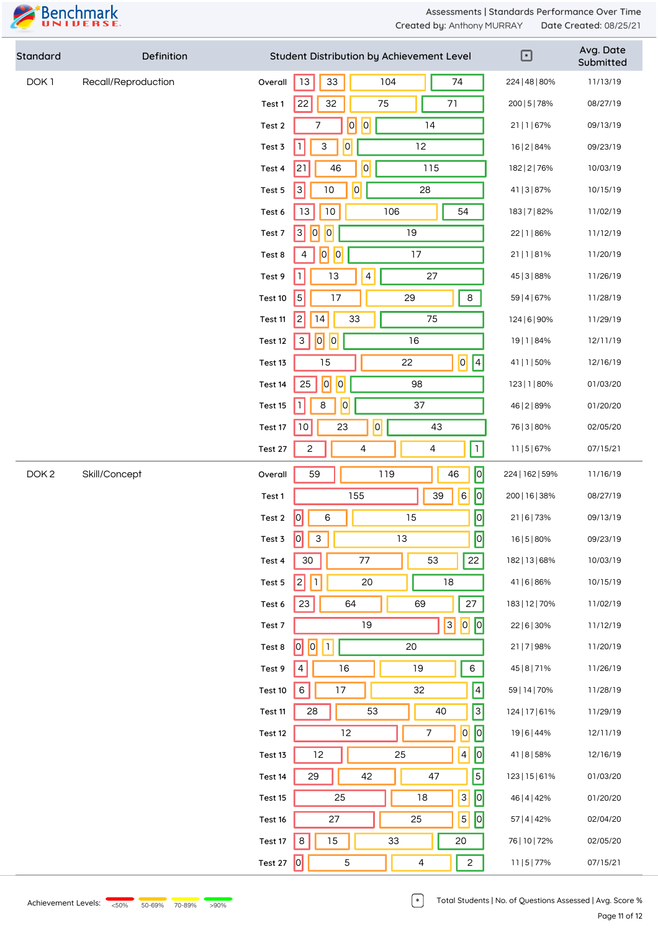

| Standard         | Definition          |                                                | Student Distribution by Achievement Level       | $\boxed{\mathbf{r}}$ | Avg. Date<br>Submitted |
|------------------|---------------------|------------------------------------------------|-------------------------------------------------|----------------------|------------------------|
| DOK <sub>1</sub> | Recall/Reproduction | Overall                                        | $13\,$<br>104<br>74<br>$33\,$                   | 224   48   80%       | 11/13/19               |
|                  |                     | Test 1                                         | 22<br>32<br>75<br>71                            | 200   5   78%        | 08/27/19               |
|                  |                     | Test 2                                         | $\overline{0}$<br> 0 <br>14<br>$\overline{7}$   | 21   1   67%         | 09/13/19               |
|                  |                     | Test 3                                         | $\mathbf{1}$<br>$\overline{0}$<br>12<br>3       | 16   2   84%         | 09/23/19               |
|                  |                     | Test 4                                         | 0 <br>21<br>46<br>115                           | 182   2   76%        | 10/03/19               |
|                  |                     | Test 5                                         | $\overline{3}$<br>$10$<br>$\overline{0}$<br>28  | 41   3   87%         | 10/15/19               |
|                  |                     | Test 6                                         | 106<br>13<br>$10$<br>54                         | 183   7   82%        | 11/02/19               |
|                  |                     | Test 7                                         | $\overline{3}$<br> 0 <br> 0 <br>19              | 22   1   86%         | 11/12/19               |
|                  |                     | Test 8                                         | 0 <br> 0 <br>17<br>4                            | 21 1 81%             | 11/20/19               |
|                  |                     | Test 9                                         | $\mathbf{1}$<br>$\overline{4}$<br>13<br>27      | 45   3   88%         | 11/26/19               |
|                  |                     | Test 10                                        | $\overline{\phantom{0}}$<br>17<br>29<br>$\bf 8$ | 59   4   67%         | 11/28/19               |
|                  |                     | Test 11                                        | 2 <br>75<br>14<br>33                            | 124   6   90%        | 11/29/19               |
|                  |                     | Test 12                                        | 0 <br> 0 <br>16<br>$\ensuremath{\mathsf{3}}$    | 19   1   84%         | 12/11/19               |
|                  |                     | Test 13                                        | $\overline{0}$<br>$\vert 4 \vert$<br>15<br>22   | 41   1   50%         | 12/16/19               |
|                  |                     | Test 14                                        | $\overline{0}$<br> 0 <br>25<br>98               | 123   1   80%        | 01/03/20               |
|                  |                     | Test 15                                        | 0 <br>$\mathbb{I}$<br>37<br>8                   | 46   2   89%         | 01/20/20               |
|                  |                     | Test 17                                        | $\overline{0}$<br>10<br>23<br>43                | 76   3   80%         | 02/05/20               |
|                  |                     | Test 27                                        | $\overline{1}$<br>$\mathbf{2}$<br>4<br>4        | 11   5   67%         | 07/15/21               |
| DOK <sub>2</sub> | Skill/Concept       | Overall                                        | $\boxed{0}$<br>59<br>119<br>46                  | 224   162   59%      | 11/16/19               |
|                  |                     | Test 1                                         | $\boxed{\circ}$<br> 6 <br>155<br>39             | 200   16   38%       | 08/27/19               |
|                  |                     | Test 2                                         | $\boxed{\circ}$<br> 0 <br>15<br>6               | 21   6   73%         | 09/13/19               |
|                  |                     | Test 3                                         | $\sqrt{2}$<br>$\boxed{0}$<br>$\vert$ 3<br>13    | 16   5   80%         | 09/23/19               |
|                  |                     | Test 4                                         | 22<br>30<br>77<br>53                            | 182   13   68%       | 10/03/19               |
|                  |                     | Test 5                                         | 2 <br>$\vert \vert \vert$<br>$18\,$<br>20       | 41   6   86%         | 10/15/19               |
|                  |                     | Test 6                                         | 27<br>23<br>64<br>69                            | 183   12   70%       | 11/02/19               |
|                  |                     | Test 7                                         | $\boxed{0}$<br>$\boxed{3}$<br>19                | 22   6   30%         | 11/12/19               |
|                  |                     | Test 8                                         | 0 <br> 0 <br>$\vert \mathbb{1} \vert$<br>20     | 21   7   98%         | 11/20/19               |
|                  |                     | Test 9                                         | $\vert 4 \vert$<br>$16\,$<br>6<br>19            | 45   8   7 1 %       | 11/26/19               |
|                  |                     | Test 10                                        | $\vert 4 \vert$<br>$\,6\,$<br>17<br>32          | 59   14   70%        | 11/28/19               |
|                  | Test 11             | 3 <br>53<br>40<br>28                           | 124   17   61%                                  | 11/29/19             |                        |
|                  | Test 12             | $\overline{0}$<br> 0 <br>12<br>$\overline{7}$  | 19   6   44%                                    | 12/11/19             |                        |
|                  | Test 13             | $\boxed{\circ}$<br>12<br>25<br>$\vert 4 \vert$ | 41   8   58%                                    | 12/16/19             |                        |
|                  |                     | Test 14                                        | $\vert 5 \vert$<br>29<br>42<br>47               | 123   15   61%       | 01/03/20               |
|                  |                     | Test 15                                        | 0 <br>$\vert 3 \vert$<br>18<br>25               | 46   4   42%         | 01/20/20               |
|                  |                     | Test 16                                        | $\overline{5}$<br> 0 <br>25<br>27               | 57   4   42%         | 02/04/20               |
|                  |                     | Test 17                                        | $\,8\,$<br>15<br>33<br>20                       | 76   10   72%        | 02/05/20               |
|                  |                     | Test 27 $\boxed{0}$                            | $\sqrt{5}$<br>$\overline{c}$<br>$\overline{4}$  | 11   5   77%         | 07/15/21               |